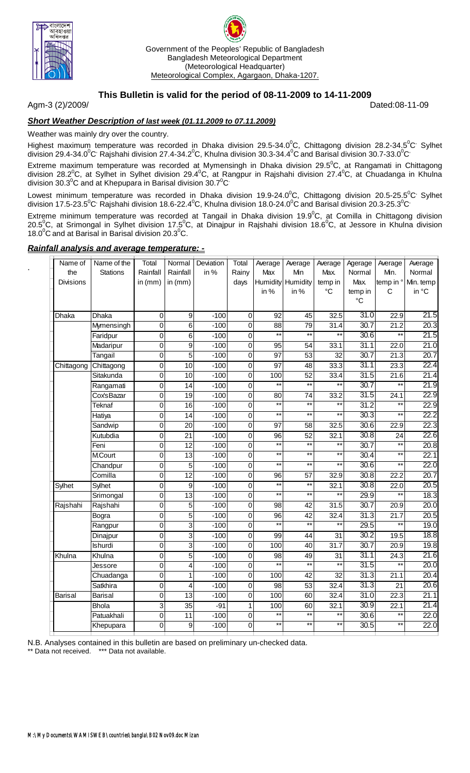

.



#### **This Bulletin is valid for the period of 08-11-2009 to 14-11-2009**

Agm-3 (2)/2009/ Dated:08-11-09

# *Short Weather Description of last week (01.11.2009 to 07.11.2009)*

Weather was mainly dry over the country.

Highest maximum temperature was recorded in Dhaka division 29.5-34.0<sup>0</sup>C, Chittagong division 28.2-34.5<sup>0</sup>C<sup>,</sup> Sylhet division 29.4-34.0 $^0$ C<sup>,</sup> Rajshahi division 27.4-34.2 $^0$ C, Khulna division 30.3-34.4 $^0$ C and Barisal division 30.7-33.0 $^0$ C $^{\circ}$ 

Extreme maximum temperature was recorded at Mymensingh in Dhaka division 29.5 $^0$ C, at Rangamati in Chittagong division 28.2<sup>0</sup>C, at Sylhet in Sylhet division 29.4<sup>0</sup>C, at Rangpur in Rajshahi division 27.4<sup>0</sup>C, at Chuadanga in Khulna division 30.3<sup>°</sup>C and at Khepupara in Barisal division 30.7<sup>°</sup>C

Lowest minimum temperature was recorded in Dhaka division 19.9-24.0<sup>0</sup>C, Chittagong division 20.5-25.5<sup>0</sup>C<sup>,</sup> Sylhet division 17.5-23.5<sup>0</sup>C<sup>,</sup> Rajshahi division 18.6-22.4<sup>0</sup>C, Khulna division 18.0-24.0<sup>0</sup>C and Barisal division 20.3-25.3<sup>0</sup>C

Extreme minimum temperature was recorded at Tangail in Dhaka division 19.9 $^0$ C, at Comilla in Chittagong division 20.5<sup>°</sup>C, at Srimongal in Sylhet division 17.5<sup>°</sup>C, at Dinajpur in Rajshahi division 18.6<sup>°</sup>C, at Jessore in Khulna division  $18.0^{\circ}$ C and at Barisal in Barisal division 20.3 $^{\circ}$ C.

#### *Rainfall analysis and average temperature: -*

| <b>Stations</b><br>Rainfall<br>in %<br>the<br>Rainfall<br>Rainy<br>Max<br>Min<br>Max.<br>Normal<br>Min.<br>Normal<br>temp in °<br>Humidity Humidity<br>Max.<br>Min. temp<br><b>Divisions</b><br>in $(mm)$<br>temp in<br>in $(mm)$<br>days<br>in %<br>in %<br>$\rm ^{\circ}C$<br>$\mathsf{C}$<br>in °C<br>temp in<br>$\rm ^{\circ}C$<br>31.0<br>21.5<br>9<br>$-100$<br>92<br>45<br>32.5<br>22.9<br>Dhaka<br>$\Omega$<br>0<br>Dhaka<br>30.7<br>20.3<br>0<br>6<br>$-100$<br>$\boldsymbol{0}$<br>88<br>79<br>31.4<br>21.2<br>Mymensingh<br>$\overline{**}$<br>$\overline{**}$<br>21.5<br>$**$<br>30.6<br>$\star\star$<br>0<br>6<br>$-100$<br>$\mathbf 0$<br>Faridpur<br>21.0<br>$\overline{0}$<br>$\overline{9}$<br>$\overline{0}$<br>33.1<br>31.1<br>Madaripur<br>$-100$<br>$\overline{95}$<br>$\overline{54}$<br>22.0<br>$\overline{5}$<br>30.7<br>20.7<br>$\overline{0}$<br>$-100$<br>$\overline{0}$<br>97<br>53<br>$\overline{32}$<br>21.3<br>Tangail<br>31.1<br>22.4<br>$\mathbf 0$<br>10<br>$-100$<br>$\mathbf 0$<br>$\overline{97}$<br>48<br>33.3<br>23.3<br>Chittagong<br>Chittagong<br>21.4<br>$\overline{31.5}$<br>Sitakunda<br>0<br>10<br>$-100$<br>0<br>100<br>52<br>21.6<br>33.4<br>$**$<br>$***$<br>$***$<br>30.7<br>$***$<br>21.9<br>$\mathbf{0}$<br>$\overline{14}$<br>$-100$<br>$\mathbf 0$<br>Rangamati<br>31.5<br>22.9<br>33.2<br>CoxsBazar<br>0<br>$\overline{19}$<br>$-100$<br>$\mathbf 0$<br>$\overline{80}$<br>$\overline{74}$<br>24.1<br>$\overline{\phantom{1}}$<br>$\star\star$<br>$*$<br>$\star\star$<br>31.2<br>22.9<br><b>Teknaf</b><br>0<br>16<br>$-100$<br>$\mathbf 0$<br>$\star\star$<br>$\star\star$<br>$\star\star$<br>30.3<br>$\star\star$<br>22.2<br>Hatiya<br>$\mathbf 0$<br>0<br>14<br>$-100$<br>22.3<br>30.6<br>$-100$<br>$\mathbf 0$<br>$\overline{97}$<br>32.5<br>22.9<br>Sandwip<br>0<br>20<br>58<br>30.8<br>22.6<br>Kutubdia<br>0<br>21<br>$-100$<br>$\mathbf 0$<br>96<br>52<br>32.1<br>24<br>$\overline{**}$<br>$\overline{**}$<br>$\overline{**}$<br>$\star\star$<br>30.7<br>20.8<br>Feni<br>12<br>0<br>$-100$<br>$\mathbf 0$<br>$\overline{**}$<br>$*$<br>$**$<br>$**$<br>30.4<br>22.1<br><b>M.Court</b><br>13<br>$\mathbf 0$<br>$-100$<br>$\Omega$<br>30.6<br>$\star\star$<br>22.0<br>5<br>$***$<br>$***$<br>$^{\star\star}$<br>Chandpur<br>0<br>$-100$<br>0<br>$\overline{12}$<br>30.8<br>20.7<br>Comilla<br>$-100$<br>$\overline{0}$<br>$\overline{57}$<br>32.9<br>22.2<br>0<br>96<br>$**$<br>$**$<br>$\overline{9}$<br>30.8<br>20.5<br>Sylhet<br>0<br>$-100$<br>$\overline{0}$<br>32.1<br>22.0<br>Sylhet<br>$\star\star$<br>$**$<br>$**$<br>29.9<br>18.3<br>13<br>$***$<br>Srimongal<br>0<br>$-100$<br>$\overline{0}$<br>5<br>30.7<br>20.0<br>0<br>$\pmb{0}$<br>$\overline{42}$<br>31.5<br>Rajshahi<br>$-100$<br>98<br>20.9<br>Rajshahi<br>5<br>31.3<br>20.5<br>42<br>32.4<br>21.7<br>0<br>$-100$<br>$\pmb{0}$<br>96<br>Bogra<br>$\overline{**}$<br>$\overline{3}$<br>$*$<br>$\ddot{x}$<br>$\star\star$<br>29.5<br>19.0<br>0<br>$-100$<br>$\mathbf 0$<br>Rangpur<br>18.8<br>$\overline{3}$<br>30.2<br>$\overline{31}$<br>0<br>$-100$<br>$\overline{0}$<br>99<br>$\overline{44}$<br>19.5<br>Dinajpur<br>$\overline{3}$<br>30.7<br>19.8<br>$\overline{0}$<br>100<br>31.7<br><b>Ishurdi</b><br>$-100$<br>$\overline{0}$<br>40<br>20.9<br>5<br>31.1<br>21.6<br>0<br>$\mathbf 0$<br>$\overline{98}$<br>49<br>$\overline{24.3}$<br>Khulna<br>$-100$<br>31<br>Khulna<br>$***$<br>$***$<br>$***$<br>$**$<br>4<br>$-100$<br>$\overline{31.5}$<br>20.0<br>0<br>0<br>Jessore<br>31.3<br>20.4<br>$\mathbf{0}$<br>1<br>$-100$<br>$\mathbf 0$<br>100<br>$\overline{42}$<br>$\overline{32}$<br>21.1<br>Chuadanga<br>31.3<br>20.6<br>32.4<br>Satkhira<br>0<br>4<br>$-100$<br>$\mathbf 0$<br>$\overline{98}$<br>$\overline{53}$<br>$\overline{21}$<br>31.0<br>21.1<br>13<br>100<br>32.4<br>22.3<br>Barisal<br>0<br>$-100$<br>$\pmb{0}$<br>60<br><b>Barisal</b><br>21.4<br>$\overline{35}$<br>30.9<br>3<br>$-91$<br>1<br>32.1<br>22.1<br><b>Bhola</b><br>100<br>60<br>$\star\star$<br>$\overline{**}$<br>$\overline{**}$<br>$\overline{**}$<br>$-100$<br>22.0<br>Patuakhali<br>$\mathbf{0}$<br>$\overline{11}$<br>$\mathbf 0$<br>30.6<br>$**$<br>$\overline{\phantom{1}}$<br>$\star\star$<br>$\overline{**}$<br>22.0<br>30.5<br>9<br>$-100$<br>$\overline{0}$<br>Khepupara<br>$\Omega$ | Name of | Name of the | Total | Normal | Deviation | Total | Average | Average | Average | Agerage | Average | Average |
|--------------------------------------------------------------------------------------------------------------------------------------------------------------------------------------------------------------------------------------------------------------------------------------------------------------------------------------------------------------------------------------------------------------------------------------------------------------------------------------------------------------------------------------------------------------------------------------------------------------------------------------------------------------------------------------------------------------------------------------------------------------------------------------------------------------------------------------------------------------------------------------------------------------------------------------------------------------------------------------------------------------------------------------------------------------------------------------------------------------------------------------------------------------------------------------------------------------------------------------------------------------------------------------------------------------------------------------------------------------------------------------------------------------------------------------------------------------------------------------------------------------------------------------------------------------------------------------------------------------------------------------------------------------------------------------------------------------------------------------------------------------------------------------------------------------------------------------------------------------------------------------------------------------------------------------------------------------------------------------------------------------------------------------------------------------------------------------------------------------------------------------------------------------------------------------------------------------------------------------------------------------------------------------------------------------------------------------------------------------------------------------------------------------------------------------------------------------------------------------------------------------------------------------------------------------------------------------------------------------------------------------------------------------------------------------------------------------------------------------------------------------------------------------------------------------------------------------------------------------------------------------------------------------------------------------------------------------------------------------------------------------------------------------------------------------------------------------------------------------------------------------------------------------------------------------------------------------------------------------------------------------------------------------------------------------------------------------------------------------------------------------------------------------------------------------------------------------------------------------------------------------------------------------------------------------------------------------------------------------------------------------------------------------------------------------------------------------------------------------------------------------------------------------------------------------------------------------------------------------------------------------------------------------------------------------------------------------------------------------------------------------------------------------------------------------------------------------------------------------------------------------------------------------------------------------------------------------------------------------------------------------------------------------------------------------------|---------|-------------|-------|--------|-----------|-------|---------|---------|---------|---------|---------|---------|
|                                                                                                                                                                                                                                                                                                                                                                                                                                                                                                                                                                                                                                                                                                                                                                                                                                                                                                                                                                                                                                                                                                                                                                                                                                                                                                                                                                                                                                                                                                                                                                                                                                                                                                                                                                                                                                                                                                                                                                                                                                                                                                                                                                                                                                                                                                                                                                                                                                                                                                                                                                                                                                                                                                                                                                                                                                                                                                                                                                                                                                                                                                                                                                                                                                                                                                                                                                                                                                                                                                                                                                                                                                                                                                                                                                                                                                                                                                                                                                                                                                                                                                                                                                                                                                                                                                                    |         |             |       |        |           |       |         |         |         |         |         |         |
|                                                                                                                                                                                                                                                                                                                                                                                                                                                                                                                                                                                                                                                                                                                                                                                                                                                                                                                                                                                                                                                                                                                                                                                                                                                                                                                                                                                                                                                                                                                                                                                                                                                                                                                                                                                                                                                                                                                                                                                                                                                                                                                                                                                                                                                                                                                                                                                                                                                                                                                                                                                                                                                                                                                                                                                                                                                                                                                                                                                                                                                                                                                                                                                                                                                                                                                                                                                                                                                                                                                                                                                                                                                                                                                                                                                                                                                                                                                                                                                                                                                                                                                                                                                                                                                                                                                    |         |             |       |        |           |       |         |         |         |         |         |         |
|                                                                                                                                                                                                                                                                                                                                                                                                                                                                                                                                                                                                                                                                                                                                                                                                                                                                                                                                                                                                                                                                                                                                                                                                                                                                                                                                                                                                                                                                                                                                                                                                                                                                                                                                                                                                                                                                                                                                                                                                                                                                                                                                                                                                                                                                                                                                                                                                                                                                                                                                                                                                                                                                                                                                                                                                                                                                                                                                                                                                                                                                                                                                                                                                                                                                                                                                                                                                                                                                                                                                                                                                                                                                                                                                                                                                                                                                                                                                                                                                                                                                                                                                                                                                                                                                                                                    |         |             |       |        |           |       |         |         |         |         |         |         |
|                                                                                                                                                                                                                                                                                                                                                                                                                                                                                                                                                                                                                                                                                                                                                                                                                                                                                                                                                                                                                                                                                                                                                                                                                                                                                                                                                                                                                                                                                                                                                                                                                                                                                                                                                                                                                                                                                                                                                                                                                                                                                                                                                                                                                                                                                                                                                                                                                                                                                                                                                                                                                                                                                                                                                                                                                                                                                                                                                                                                                                                                                                                                                                                                                                                                                                                                                                                                                                                                                                                                                                                                                                                                                                                                                                                                                                                                                                                                                                                                                                                                                                                                                                                                                                                                                                                    |         |             |       |        |           |       |         |         |         |         |         |         |
|                                                                                                                                                                                                                                                                                                                                                                                                                                                                                                                                                                                                                                                                                                                                                                                                                                                                                                                                                                                                                                                                                                                                                                                                                                                                                                                                                                                                                                                                                                                                                                                                                                                                                                                                                                                                                                                                                                                                                                                                                                                                                                                                                                                                                                                                                                                                                                                                                                                                                                                                                                                                                                                                                                                                                                                                                                                                                                                                                                                                                                                                                                                                                                                                                                                                                                                                                                                                                                                                                                                                                                                                                                                                                                                                                                                                                                                                                                                                                                                                                                                                                                                                                                                                                                                                                                                    |         |             |       |        |           |       |         |         |         |         |         |         |
|                                                                                                                                                                                                                                                                                                                                                                                                                                                                                                                                                                                                                                                                                                                                                                                                                                                                                                                                                                                                                                                                                                                                                                                                                                                                                                                                                                                                                                                                                                                                                                                                                                                                                                                                                                                                                                                                                                                                                                                                                                                                                                                                                                                                                                                                                                                                                                                                                                                                                                                                                                                                                                                                                                                                                                                                                                                                                                                                                                                                                                                                                                                                                                                                                                                                                                                                                                                                                                                                                                                                                                                                                                                                                                                                                                                                                                                                                                                                                                                                                                                                                                                                                                                                                                                                                                                    |         |             |       |        |           |       |         |         |         |         |         |         |
|                                                                                                                                                                                                                                                                                                                                                                                                                                                                                                                                                                                                                                                                                                                                                                                                                                                                                                                                                                                                                                                                                                                                                                                                                                                                                                                                                                                                                                                                                                                                                                                                                                                                                                                                                                                                                                                                                                                                                                                                                                                                                                                                                                                                                                                                                                                                                                                                                                                                                                                                                                                                                                                                                                                                                                                                                                                                                                                                                                                                                                                                                                                                                                                                                                                                                                                                                                                                                                                                                                                                                                                                                                                                                                                                                                                                                                                                                                                                                                                                                                                                                                                                                                                                                                                                                                                    |         |             |       |        |           |       |         |         |         |         |         |         |
|                                                                                                                                                                                                                                                                                                                                                                                                                                                                                                                                                                                                                                                                                                                                                                                                                                                                                                                                                                                                                                                                                                                                                                                                                                                                                                                                                                                                                                                                                                                                                                                                                                                                                                                                                                                                                                                                                                                                                                                                                                                                                                                                                                                                                                                                                                                                                                                                                                                                                                                                                                                                                                                                                                                                                                                                                                                                                                                                                                                                                                                                                                                                                                                                                                                                                                                                                                                                                                                                                                                                                                                                                                                                                                                                                                                                                                                                                                                                                                                                                                                                                                                                                                                                                                                                                                                    |         |             |       |        |           |       |         |         |         |         |         |         |
|                                                                                                                                                                                                                                                                                                                                                                                                                                                                                                                                                                                                                                                                                                                                                                                                                                                                                                                                                                                                                                                                                                                                                                                                                                                                                                                                                                                                                                                                                                                                                                                                                                                                                                                                                                                                                                                                                                                                                                                                                                                                                                                                                                                                                                                                                                                                                                                                                                                                                                                                                                                                                                                                                                                                                                                                                                                                                                                                                                                                                                                                                                                                                                                                                                                                                                                                                                                                                                                                                                                                                                                                                                                                                                                                                                                                                                                                                                                                                                                                                                                                                                                                                                                                                                                                                                                    |         |             |       |        |           |       |         |         |         |         |         |         |
|                                                                                                                                                                                                                                                                                                                                                                                                                                                                                                                                                                                                                                                                                                                                                                                                                                                                                                                                                                                                                                                                                                                                                                                                                                                                                                                                                                                                                                                                                                                                                                                                                                                                                                                                                                                                                                                                                                                                                                                                                                                                                                                                                                                                                                                                                                                                                                                                                                                                                                                                                                                                                                                                                                                                                                                                                                                                                                                                                                                                                                                                                                                                                                                                                                                                                                                                                                                                                                                                                                                                                                                                                                                                                                                                                                                                                                                                                                                                                                                                                                                                                                                                                                                                                                                                                                                    |         |             |       |        |           |       |         |         |         |         |         |         |
|                                                                                                                                                                                                                                                                                                                                                                                                                                                                                                                                                                                                                                                                                                                                                                                                                                                                                                                                                                                                                                                                                                                                                                                                                                                                                                                                                                                                                                                                                                                                                                                                                                                                                                                                                                                                                                                                                                                                                                                                                                                                                                                                                                                                                                                                                                                                                                                                                                                                                                                                                                                                                                                                                                                                                                                                                                                                                                                                                                                                                                                                                                                                                                                                                                                                                                                                                                                                                                                                                                                                                                                                                                                                                                                                                                                                                                                                                                                                                                                                                                                                                                                                                                                                                                                                                                                    |         |             |       |        |           |       |         |         |         |         |         |         |
|                                                                                                                                                                                                                                                                                                                                                                                                                                                                                                                                                                                                                                                                                                                                                                                                                                                                                                                                                                                                                                                                                                                                                                                                                                                                                                                                                                                                                                                                                                                                                                                                                                                                                                                                                                                                                                                                                                                                                                                                                                                                                                                                                                                                                                                                                                                                                                                                                                                                                                                                                                                                                                                                                                                                                                                                                                                                                                                                                                                                                                                                                                                                                                                                                                                                                                                                                                                                                                                                                                                                                                                                                                                                                                                                                                                                                                                                                                                                                                                                                                                                                                                                                                                                                                                                                                                    |         |             |       |        |           |       |         |         |         |         |         |         |
|                                                                                                                                                                                                                                                                                                                                                                                                                                                                                                                                                                                                                                                                                                                                                                                                                                                                                                                                                                                                                                                                                                                                                                                                                                                                                                                                                                                                                                                                                                                                                                                                                                                                                                                                                                                                                                                                                                                                                                                                                                                                                                                                                                                                                                                                                                                                                                                                                                                                                                                                                                                                                                                                                                                                                                                                                                                                                                                                                                                                                                                                                                                                                                                                                                                                                                                                                                                                                                                                                                                                                                                                                                                                                                                                                                                                                                                                                                                                                                                                                                                                                                                                                                                                                                                                                                                    |         |             |       |        |           |       |         |         |         |         |         |         |
|                                                                                                                                                                                                                                                                                                                                                                                                                                                                                                                                                                                                                                                                                                                                                                                                                                                                                                                                                                                                                                                                                                                                                                                                                                                                                                                                                                                                                                                                                                                                                                                                                                                                                                                                                                                                                                                                                                                                                                                                                                                                                                                                                                                                                                                                                                                                                                                                                                                                                                                                                                                                                                                                                                                                                                                                                                                                                                                                                                                                                                                                                                                                                                                                                                                                                                                                                                                                                                                                                                                                                                                                                                                                                                                                                                                                                                                                                                                                                                                                                                                                                                                                                                                                                                                                                                                    |         |             |       |        |           |       |         |         |         |         |         |         |
|                                                                                                                                                                                                                                                                                                                                                                                                                                                                                                                                                                                                                                                                                                                                                                                                                                                                                                                                                                                                                                                                                                                                                                                                                                                                                                                                                                                                                                                                                                                                                                                                                                                                                                                                                                                                                                                                                                                                                                                                                                                                                                                                                                                                                                                                                                                                                                                                                                                                                                                                                                                                                                                                                                                                                                                                                                                                                                                                                                                                                                                                                                                                                                                                                                                                                                                                                                                                                                                                                                                                                                                                                                                                                                                                                                                                                                                                                                                                                                                                                                                                                                                                                                                                                                                                                                                    |         |             |       |        |           |       |         |         |         |         |         |         |
|                                                                                                                                                                                                                                                                                                                                                                                                                                                                                                                                                                                                                                                                                                                                                                                                                                                                                                                                                                                                                                                                                                                                                                                                                                                                                                                                                                                                                                                                                                                                                                                                                                                                                                                                                                                                                                                                                                                                                                                                                                                                                                                                                                                                                                                                                                                                                                                                                                                                                                                                                                                                                                                                                                                                                                                                                                                                                                                                                                                                                                                                                                                                                                                                                                                                                                                                                                                                                                                                                                                                                                                                                                                                                                                                                                                                                                                                                                                                                                                                                                                                                                                                                                                                                                                                                                                    |         |             |       |        |           |       |         |         |         |         |         |         |
|                                                                                                                                                                                                                                                                                                                                                                                                                                                                                                                                                                                                                                                                                                                                                                                                                                                                                                                                                                                                                                                                                                                                                                                                                                                                                                                                                                                                                                                                                                                                                                                                                                                                                                                                                                                                                                                                                                                                                                                                                                                                                                                                                                                                                                                                                                                                                                                                                                                                                                                                                                                                                                                                                                                                                                                                                                                                                                                                                                                                                                                                                                                                                                                                                                                                                                                                                                                                                                                                                                                                                                                                                                                                                                                                                                                                                                                                                                                                                                                                                                                                                                                                                                                                                                                                                                                    |         |             |       |        |           |       |         |         |         |         |         |         |
|                                                                                                                                                                                                                                                                                                                                                                                                                                                                                                                                                                                                                                                                                                                                                                                                                                                                                                                                                                                                                                                                                                                                                                                                                                                                                                                                                                                                                                                                                                                                                                                                                                                                                                                                                                                                                                                                                                                                                                                                                                                                                                                                                                                                                                                                                                                                                                                                                                                                                                                                                                                                                                                                                                                                                                                                                                                                                                                                                                                                                                                                                                                                                                                                                                                                                                                                                                                                                                                                                                                                                                                                                                                                                                                                                                                                                                                                                                                                                                                                                                                                                                                                                                                                                                                                                                                    |         |             |       |        |           |       |         |         |         |         |         |         |
|                                                                                                                                                                                                                                                                                                                                                                                                                                                                                                                                                                                                                                                                                                                                                                                                                                                                                                                                                                                                                                                                                                                                                                                                                                                                                                                                                                                                                                                                                                                                                                                                                                                                                                                                                                                                                                                                                                                                                                                                                                                                                                                                                                                                                                                                                                                                                                                                                                                                                                                                                                                                                                                                                                                                                                                                                                                                                                                                                                                                                                                                                                                                                                                                                                                                                                                                                                                                                                                                                                                                                                                                                                                                                                                                                                                                                                                                                                                                                                                                                                                                                                                                                                                                                                                                                                                    |         |             |       |        |           |       |         |         |         |         |         |         |
|                                                                                                                                                                                                                                                                                                                                                                                                                                                                                                                                                                                                                                                                                                                                                                                                                                                                                                                                                                                                                                                                                                                                                                                                                                                                                                                                                                                                                                                                                                                                                                                                                                                                                                                                                                                                                                                                                                                                                                                                                                                                                                                                                                                                                                                                                                                                                                                                                                                                                                                                                                                                                                                                                                                                                                                                                                                                                                                                                                                                                                                                                                                                                                                                                                                                                                                                                                                                                                                                                                                                                                                                                                                                                                                                                                                                                                                                                                                                                                                                                                                                                                                                                                                                                                                                                                                    |         |             |       |        |           |       |         |         |         |         |         |         |
|                                                                                                                                                                                                                                                                                                                                                                                                                                                                                                                                                                                                                                                                                                                                                                                                                                                                                                                                                                                                                                                                                                                                                                                                                                                                                                                                                                                                                                                                                                                                                                                                                                                                                                                                                                                                                                                                                                                                                                                                                                                                                                                                                                                                                                                                                                                                                                                                                                                                                                                                                                                                                                                                                                                                                                                                                                                                                                                                                                                                                                                                                                                                                                                                                                                                                                                                                                                                                                                                                                                                                                                                                                                                                                                                                                                                                                                                                                                                                                                                                                                                                                                                                                                                                                                                                                                    |         |             |       |        |           |       |         |         |         |         |         |         |
|                                                                                                                                                                                                                                                                                                                                                                                                                                                                                                                                                                                                                                                                                                                                                                                                                                                                                                                                                                                                                                                                                                                                                                                                                                                                                                                                                                                                                                                                                                                                                                                                                                                                                                                                                                                                                                                                                                                                                                                                                                                                                                                                                                                                                                                                                                                                                                                                                                                                                                                                                                                                                                                                                                                                                                                                                                                                                                                                                                                                                                                                                                                                                                                                                                                                                                                                                                                                                                                                                                                                                                                                                                                                                                                                                                                                                                                                                                                                                                                                                                                                                                                                                                                                                                                                                                                    |         |             |       |        |           |       |         |         |         |         |         |         |
|                                                                                                                                                                                                                                                                                                                                                                                                                                                                                                                                                                                                                                                                                                                                                                                                                                                                                                                                                                                                                                                                                                                                                                                                                                                                                                                                                                                                                                                                                                                                                                                                                                                                                                                                                                                                                                                                                                                                                                                                                                                                                                                                                                                                                                                                                                                                                                                                                                                                                                                                                                                                                                                                                                                                                                                                                                                                                                                                                                                                                                                                                                                                                                                                                                                                                                                                                                                                                                                                                                                                                                                                                                                                                                                                                                                                                                                                                                                                                                                                                                                                                                                                                                                                                                                                                                                    |         |             |       |        |           |       |         |         |         |         |         |         |
|                                                                                                                                                                                                                                                                                                                                                                                                                                                                                                                                                                                                                                                                                                                                                                                                                                                                                                                                                                                                                                                                                                                                                                                                                                                                                                                                                                                                                                                                                                                                                                                                                                                                                                                                                                                                                                                                                                                                                                                                                                                                                                                                                                                                                                                                                                                                                                                                                                                                                                                                                                                                                                                                                                                                                                                                                                                                                                                                                                                                                                                                                                                                                                                                                                                                                                                                                                                                                                                                                                                                                                                                                                                                                                                                                                                                                                                                                                                                                                                                                                                                                                                                                                                                                                                                                                                    |         |             |       |        |           |       |         |         |         |         |         |         |
|                                                                                                                                                                                                                                                                                                                                                                                                                                                                                                                                                                                                                                                                                                                                                                                                                                                                                                                                                                                                                                                                                                                                                                                                                                                                                                                                                                                                                                                                                                                                                                                                                                                                                                                                                                                                                                                                                                                                                                                                                                                                                                                                                                                                                                                                                                                                                                                                                                                                                                                                                                                                                                                                                                                                                                                                                                                                                                                                                                                                                                                                                                                                                                                                                                                                                                                                                                                                                                                                                                                                                                                                                                                                                                                                                                                                                                                                                                                                                                                                                                                                                                                                                                                                                                                                                                                    |         |             |       |        |           |       |         |         |         |         |         |         |
|                                                                                                                                                                                                                                                                                                                                                                                                                                                                                                                                                                                                                                                                                                                                                                                                                                                                                                                                                                                                                                                                                                                                                                                                                                                                                                                                                                                                                                                                                                                                                                                                                                                                                                                                                                                                                                                                                                                                                                                                                                                                                                                                                                                                                                                                                                                                                                                                                                                                                                                                                                                                                                                                                                                                                                                                                                                                                                                                                                                                                                                                                                                                                                                                                                                                                                                                                                                                                                                                                                                                                                                                                                                                                                                                                                                                                                                                                                                                                                                                                                                                                                                                                                                                                                                                                                                    |         |             |       |        |           |       |         |         |         |         |         |         |
|                                                                                                                                                                                                                                                                                                                                                                                                                                                                                                                                                                                                                                                                                                                                                                                                                                                                                                                                                                                                                                                                                                                                                                                                                                                                                                                                                                                                                                                                                                                                                                                                                                                                                                                                                                                                                                                                                                                                                                                                                                                                                                                                                                                                                                                                                                                                                                                                                                                                                                                                                                                                                                                                                                                                                                                                                                                                                                                                                                                                                                                                                                                                                                                                                                                                                                                                                                                                                                                                                                                                                                                                                                                                                                                                                                                                                                                                                                                                                                                                                                                                                                                                                                                                                                                                                                                    |         |             |       |        |           |       |         |         |         |         |         |         |
|                                                                                                                                                                                                                                                                                                                                                                                                                                                                                                                                                                                                                                                                                                                                                                                                                                                                                                                                                                                                                                                                                                                                                                                                                                                                                                                                                                                                                                                                                                                                                                                                                                                                                                                                                                                                                                                                                                                                                                                                                                                                                                                                                                                                                                                                                                                                                                                                                                                                                                                                                                                                                                                                                                                                                                                                                                                                                                                                                                                                                                                                                                                                                                                                                                                                                                                                                                                                                                                                                                                                                                                                                                                                                                                                                                                                                                                                                                                                                                                                                                                                                                                                                                                                                                                                                                                    |         |             |       |        |           |       |         |         |         |         |         |         |
|                                                                                                                                                                                                                                                                                                                                                                                                                                                                                                                                                                                                                                                                                                                                                                                                                                                                                                                                                                                                                                                                                                                                                                                                                                                                                                                                                                                                                                                                                                                                                                                                                                                                                                                                                                                                                                                                                                                                                                                                                                                                                                                                                                                                                                                                                                                                                                                                                                                                                                                                                                                                                                                                                                                                                                                                                                                                                                                                                                                                                                                                                                                                                                                                                                                                                                                                                                                                                                                                                                                                                                                                                                                                                                                                                                                                                                                                                                                                                                                                                                                                                                                                                                                                                                                                                                                    |         |             |       |        |           |       |         |         |         |         |         |         |
|                                                                                                                                                                                                                                                                                                                                                                                                                                                                                                                                                                                                                                                                                                                                                                                                                                                                                                                                                                                                                                                                                                                                                                                                                                                                                                                                                                                                                                                                                                                                                                                                                                                                                                                                                                                                                                                                                                                                                                                                                                                                                                                                                                                                                                                                                                                                                                                                                                                                                                                                                                                                                                                                                                                                                                                                                                                                                                                                                                                                                                                                                                                                                                                                                                                                                                                                                                                                                                                                                                                                                                                                                                                                                                                                                                                                                                                                                                                                                                                                                                                                                                                                                                                                                                                                                                                    |         |             |       |        |           |       |         |         |         |         |         |         |
|                                                                                                                                                                                                                                                                                                                                                                                                                                                                                                                                                                                                                                                                                                                                                                                                                                                                                                                                                                                                                                                                                                                                                                                                                                                                                                                                                                                                                                                                                                                                                                                                                                                                                                                                                                                                                                                                                                                                                                                                                                                                                                                                                                                                                                                                                                                                                                                                                                                                                                                                                                                                                                                                                                                                                                                                                                                                                                                                                                                                                                                                                                                                                                                                                                                                                                                                                                                                                                                                                                                                                                                                                                                                                                                                                                                                                                                                                                                                                                                                                                                                                                                                                                                                                                                                                                                    |         |             |       |        |           |       |         |         |         |         |         |         |
|                                                                                                                                                                                                                                                                                                                                                                                                                                                                                                                                                                                                                                                                                                                                                                                                                                                                                                                                                                                                                                                                                                                                                                                                                                                                                                                                                                                                                                                                                                                                                                                                                                                                                                                                                                                                                                                                                                                                                                                                                                                                                                                                                                                                                                                                                                                                                                                                                                                                                                                                                                                                                                                                                                                                                                                                                                                                                                                                                                                                                                                                                                                                                                                                                                                                                                                                                                                                                                                                                                                                                                                                                                                                                                                                                                                                                                                                                                                                                                                                                                                                                                                                                                                                                                                                                                                    |         |             |       |        |           |       |         |         |         |         |         |         |
|                                                                                                                                                                                                                                                                                                                                                                                                                                                                                                                                                                                                                                                                                                                                                                                                                                                                                                                                                                                                                                                                                                                                                                                                                                                                                                                                                                                                                                                                                                                                                                                                                                                                                                                                                                                                                                                                                                                                                                                                                                                                                                                                                                                                                                                                                                                                                                                                                                                                                                                                                                                                                                                                                                                                                                                                                                                                                                                                                                                                                                                                                                                                                                                                                                                                                                                                                                                                                                                                                                                                                                                                                                                                                                                                                                                                                                                                                                                                                                                                                                                                                                                                                                                                                                                                                                                    |         |             |       |        |           |       |         |         |         |         |         |         |
|                                                                                                                                                                                                                                                                                                                                                                                                                                                                                                                                                                                                                                                                                                                                                                                                                                                                                                                                                                                                                                                                                                                                                                                                                                                                                                                                                                                                                                                                                                                                                                                                                                                                                                                                                                                                                                                                                                                                                                                                                                                                                                                                                                                                                                                                                                                                                                                                                                                                                                                                                                                                                                                                                                                                                                                                                                                                                                                                                                                                                                                                                                                                                                                                                                                                                                                                                                                                                                                                                                                                                                                                                                                                                                                                                                                                                                                                                                                                                                                                                                                                                                                                                                                                                                                                                                                    |         |             |       |        |           |       |         |         |         |         |         |         |
|                                                                                                                                                                                                                                                                                                                                                                                                                                                                                                                                                                                                                                                                                                                                                                                                                                                                                                                                                                                                                                                                                                                                                                                                                                                                                                                                                                                                                                                                                                                                                                                                                                                                                                                                                                                                                                                                                                                                                                                                                                                                                                                                                                                                                                                                                                                                                                                                                                                                                                                                                                                                                                                                                                                                                                                                                                                                                                                                                                                                                                                                                                                                                                                                                                                                                                                                                                                                                                                                                                                                                                                                                                                                                                                                                                                                                                                                                                                                                                                                                                                                                                                                                                                                                                                                                                                    |         |             |       |        |           |       |         |         |         |         |         |         |
|                                                                                                                                                                                                                                                                                                                                                                                                                                                                                                                                                                                                                                                                                                                                                                                                                                                                                                                                                                                                                                                                                                                                                                                                                                                                                                                                                                                                                                                                                                                                                                                                                                                                                                                                                                                                                                                                                                                                                                                                                                                                                                                                                                                                                                                                                                                                                                                                                                                                                                                                                                                                                                                                                                                                                                                                                                                                                                                                                                                                                                                                                                                                                                                                                                                                                                                                                                                                                                                                                                                                                                                                                                                                                                                                                                                                                                                                                                                                                                                                                                                                                                                                                                                                                                                                                                                    |         |             |       |        |           |       |         |         |         |         |         |         |

N.B. Analyses contained in this bulletin are based on preliminary un-checked data.

\*\* Data not received. \*\*\* Data not available.